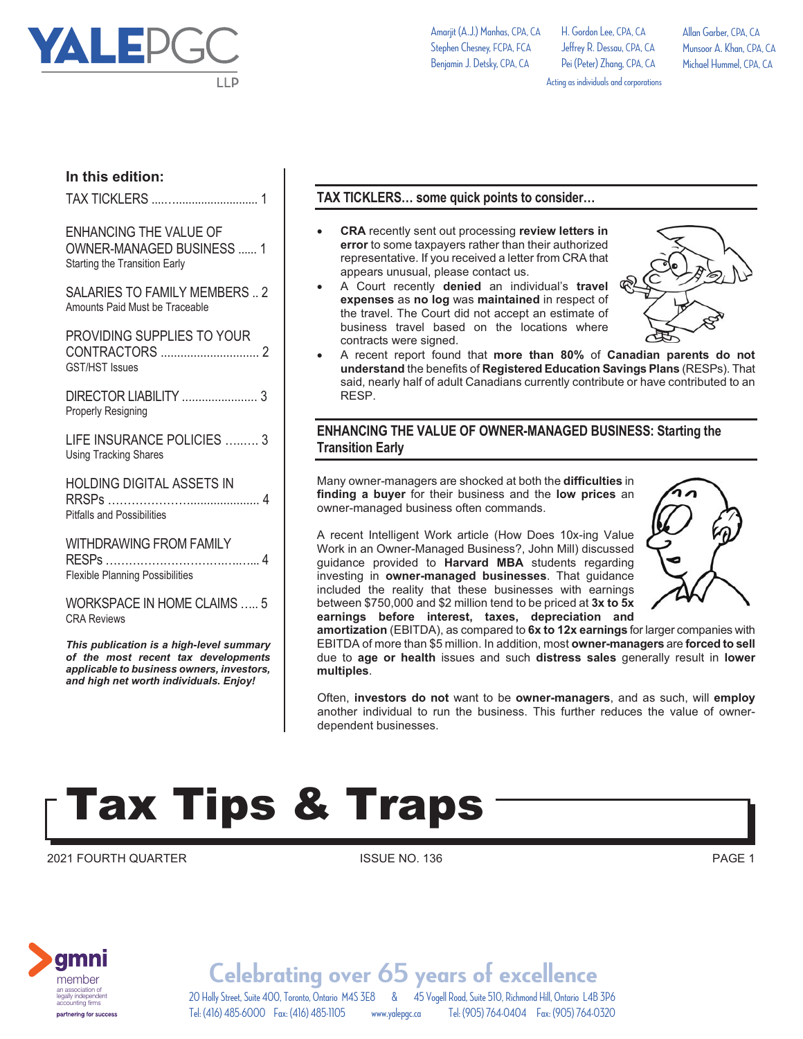

**In this edition:**

Amarjit (A.J.) Manhas, CPA, CA Stephen Chesney, FCPA, FCA Benjamin J. Detsky, CPA, CA

H. Gordon Lee, CPA, CA Jeffrey R. Dessau, CPA, CA Pei (Peter) Zhang, CPA, CA Allan Garber, CPA, CA Munsoor A. Khan, CPA, CA Michael Hummel, CPA, CA

Acting as individuals and corporations

### TAX TICKLERS ....….......................... 1

ENHANCING THE VALUE OF OWNER-MANAGED BUSINESS ...... 1 Starting the Transition Early

SALARIES TO FAMILY MEMBERS .. 2 Amounts Paid Must be Traceable

PROVIDING SUPPLIES TO YOUR CONTRACTORS .............................. 2 GST/HST Issues

DIRECTOR LIABILITY ....................... 3 Properly Resigning

LIFE INSURANCE POLICIES ......... 3 Using Tracking Shares

HOLDING DIGITAL ASSETS IN RRSPs …………………..................... 4 Pitfalls and Possibilities

WITHDRAWING FROM FAMILY RESPs ………………………….….…... 4 Flexible Planning Possibilities

WORKSPACE IN HOME CLAIMS ….. 5 CRA Reviews

*This publication is a high-level summary of the most recent tax developments applicable to business owners, investors, and high net worth individuals. Enjoy!* 

### **TAX TICKLERS… some quick points to consider…**

- - **CRA** recently sent out processing **review letters in error** to some taxpayers rather than their authorized representative. If you received a letter from CRA that appears unusual, please contact us.
- - A Court recently **denied** an individual's **travel expenses** as **no log** was **maintained** in respect of the travel. The Court did not accept an estimate of business travel based on the locations where contracts were signed.



- A recent report found that **more than 80%** of **Canadian parents do not understand** the benefits of **Registered Education Savings Plans** (RESPs). That said, nearly half of adult Canadians currently contribute or have contributed to an RESP.

#### **ENHANCING THE VALUE OF OWNER-MANAGED BUSINESS: Starting the Transition Early**

Many owner-managers are shocked at both the **difficulties** in **finding a buyer** for their business and the **low prices** an owner-managed business often commands.

A recent Intelligent Work article (How Does 10x-ing Value Work in an Owner-Managed Business?, John Mill) discussed guidance provided to **Harvard MBA** students regarding investing in **owner-managed businesses**. That guidance included the reality that these businesses with earnings between \$750,000 and \$2 million tend to be priced at **3x to 5x earnings before interest, taxes, depreciation and** 



**amortization** (EBITDA), as compared to **6x to 12x earnings** for larger companies with EBITDA of more than \$5 million. In addition, most **owner-managers** are **forced to sell** due to **age or health** issues and such **distress sales** generally result in **lower multiples**.

Often, **investors do not** want to be **owner-managers**, and as such, will **employ** another individual to run the business. This further reduces the value of ownerdependent businesses.

### Tax Tips & Traps

2021 FOURTH QUARTER **ISSUE NO. 136** PAGE 1



20 Holly Street, Suite 400, Toronto, Ontario M4S 3E8 & 45 Vogell Road, Suite 510, Richmond Hill, Ontario L4B 3P6 **Celebrating over 65 years of excellence** Tel: (416) 485-6000 Fax: (416) 485-1105 www.yalepgc.ca Tel: (905) 764-0404 Fax: (905) 764-0320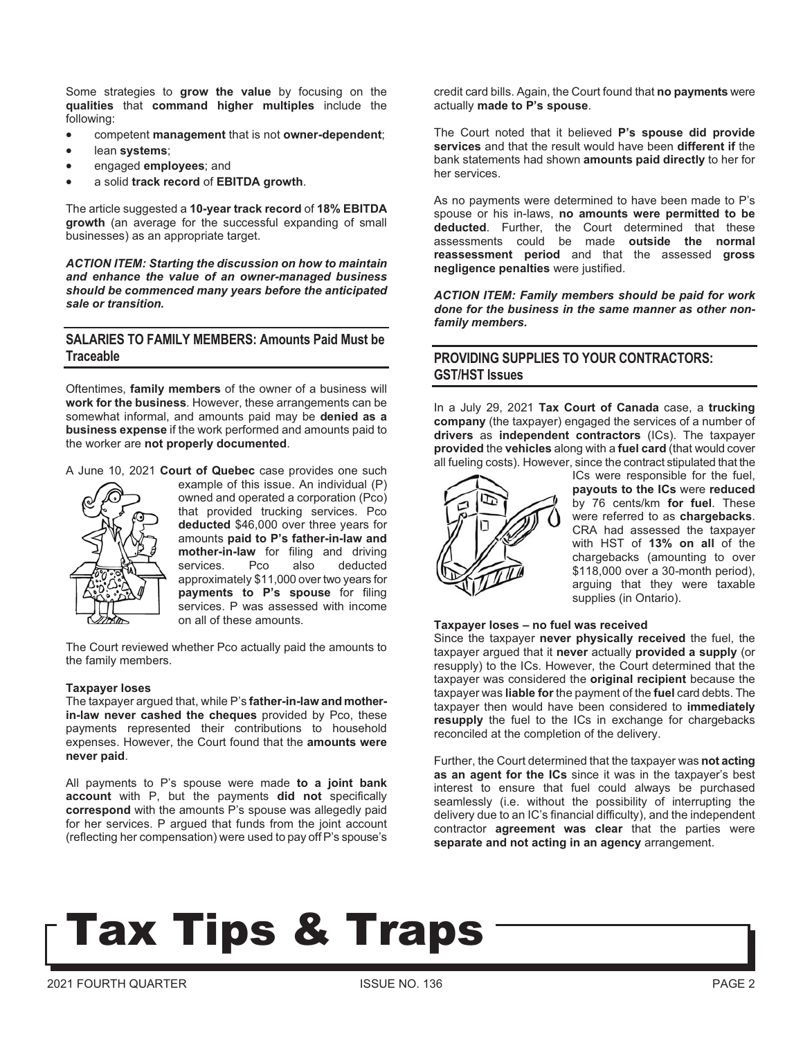Some strategies to **grow the value** by focusing on the **qualities** that **command higher multiples** include the following:

- competent **management** that is not **owner-dependent**;
- lean **systems**;
- engaged **employees**; and
- a solid **track record** of **EBITDA growth**.

The article suggested a **10-year track record** of **18% EBITDA growth** (an average for the successful expanding of small businesses) as an appropriate target.

*ACTION ITEM: Starting the discussion on how to maintain and enhance the value of an owner-managed business should be commenced many years before the anticipated sale or transition.* 

#### **SALARIES TO FAMILY MEMBERS: Amounts Paid Must be Traceable**

Oftentimes, **family members** of the owner of a business will **work for the business**. However, these arrangements can be somewhat informal, and amounts paid may be **denied as a business expense** if the work performed and amounts paid to the worker are **not properly documented**.

A June 10, 2021 **Court of Quebec** case provides one such



example of this issue. An individual (P) owned and operated a corporation (Pco) that provided trucking services. Pco **deducted** \$46,000 over three years for amounts **paid to P's father-in-law and mother-in-law** for filing and driving services. Pco also deducted approximately \$11,000 over two years for **payments to P's spouse** for filing services. P was assessed with income on all of these amounts.

The Court reviewed whether Pco actually paid the amounts to the family members.

#### **Taxpayer loses**

The taxpayer argued that, while P's **father-in-law and motherin-law never cashed the cheques** provided by Pco, these payments represented their contributions to household expenses. However, the Court found that the **amounts were never paid**.

All payments to P's spouse were made **to a joint bank account** with P, but the payments **did not** specifically **correspond** with the amounts P's spouse was allegedly paid for her services. P argued that funds from the joint account (reflecting her compensation) were used to pay off P's spouse's credit card bills. Again, the Court found that **no payments** were actually **made to P's spouse**.

The Court noted that it believed **P's spouse did provide services** and that the result would have been **different if** the bank statements had shown **amounts paid directly** to her for her services.

As no payments were determined to have been made to P's spouse or his in-laws, **no amounts were permitted to be deducted**. Further, the Court determined that these assessments could be made **outside the normal reassessment period** and that the assessed **gross negligence penalties** were justified.

*ACTION ITEM: Family members should be paid for work done for the business in the same manner as other nonfamily members.* 

#### **PROVIDING SUPPLIES TO YOUR CONTRACTORS: GST/HST Issues**

In a July 29, 2021 **Tax Court of Canada** case, a **trucking company** (the taxpayer) engaged the services of a number of **drivers** as **independent contractors** (ICs). The taxpayer **provided** the **vehicles** along with a **fuel card** (that would cover all fueling costs). However, since the contract stipulated that the



ICs were responsible for the fuel, **payouts to the ICs** were **reduced** by 76 cents/km **for fuel**. These were referred to as **chargebacks**. CRA had assessed the taxpayer with HST of **13% on all** of the chargebacks (amounting to over \$118,000 over a 30-month period), arguing that they were taxable supplies (in Ontario).

#### **Taxpayer loses – no fuel was received**

Since the taxpayer **never physically received** the fuel, the taxpayer argued that it **never** actually **provided a supply** (or resupply) to the ICs. However, the Court determined that the taxpayer was considered the **original recipient** because the taxpayer was **liable for** the payment of the **fuel** card debts. The taxpayer then would have been considered to **immediately resupply** the fuel to the ICs in exchange for chargebacks reconciled at the completion of the delivery.

Further, the Court determined that the taxpayer was **not acting as an agent for the ICs** since it was in the taxpayer's best interest to ensure that fuel could always be purchased seamlessly (i.e. without the possibility of interrupting the delivery due to an IC's financial difficulty), and the independent contractor **agreement was clear** that the parties were **separate and not acting in an agency** arrangement.

### Tax Tips & Traps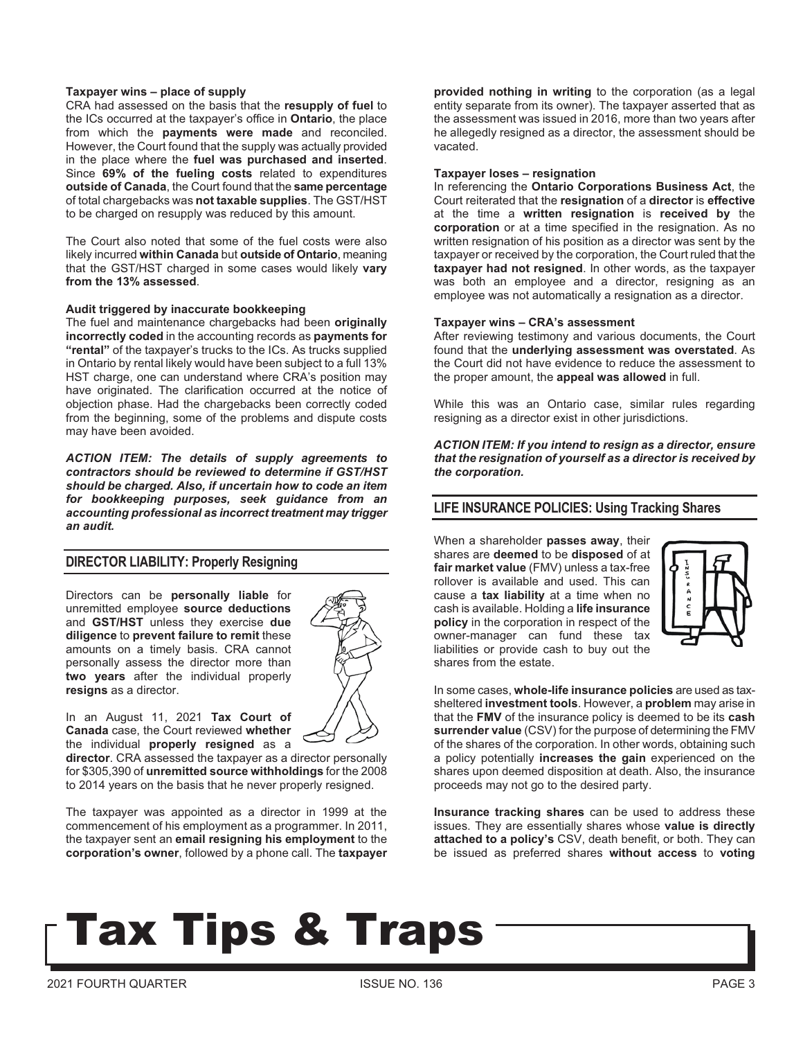#### **Taxpayer wins – place of supply**

CRA had assessed on the basis that the **resupply of fuel** to the ICs occurred at the taxpayer's office in **Ontario**, the place from which the **payments were made** and reconciled. However, the Court found that the supply was actually provided in the place where the **fuel was purchased and inserted**. Since **69% of the fueling costs** related to expenditures **outside of Canada**, the Court found that the **same percentage** of total chargebacks was **not taxable supplies**. The GST/HST to be charged on resupply was reduced by this amount.

The Court also noted that some of the fuel costs were also likely incurred **within Canada** but **outside of Ontario**, meaning that the GST/HST charged in some cases would likely **vary from the 13% assessed**.

#### **Audit triggered by inaccurate bookkeeping**

The fuel and maintenance chargebacks had been **originally incorrectly coded** in the accounting records as **payments for "rental"** of the taxpayer's trucks to the ICs. As trucks supplied in Ontario by rental likely would have been subject to a full 13% HST charge, one can understand where CRA's position may have originated. The clarification occurred at the notice of objection phase. Had the chargebacks been correctly coded from the beginning, some of the problems and dispute costs may have been avoided.

*ACTION ITEM: The details of supply agreements to contractors should be reviewed to determine if GST/HST should be charged. Also, if uncertain how to code an item for bookkeeping purposes, seek guidance from an accounting professional as incorrect treatment may trigger an audit.* 

#### **DIRECTOR LIABILITY: Properly Resigning**

Directors can be **personally liable** for unremitted employee **source deductions** and **GST/HST** unless they exercise **due diligence** to **prevent failure to remit** these amounts on a timely basis. CRA cannot personally assess the director more than **two years** after the individual properly **resigns** as a director.



In an August 11, 2021 **Tax Court of Canada** case, the Court reviewed **whether** the individual **properly resigned** as a

**director**. CRA assessed the taxpayer as a director personally for \$305,390 of **unremitted source withholdings** for the 2008 to 2014 years on the basis that he never properly resigned.

The taxpayer was appointed as a director in 1999 at the commencement of his employment as a programmer. In 2011, the taxpayer sent an **email resigning his employment** to the **corporation's owner**, followed by a phone call. The **taxpayer**  **provided nothing in writing** to the corporation (as a legal entity separate from its owner). The taxpayer asserted that as the assessment was issued in 2016, more than two years after he allegedly resigned as a director, the assessment should be vacated.

#### **Taxpayer loses – resignation**

In referencing the **Ontario Corporations Business Act**, the Court reiterated that the **resignation** of a **director** is **effective** at the time a **written resignation** is **received by** the **corporation** or at a time specified in the resignation. As no written resignation of his position as a director was sent by the taxpayer or received by the corporation, the Court ruled that the **taxpayer had not resigned**. In other words, as the taxpayer was both an employee and a director, resigning as an employee was not automatically a resignation as a director.

#### **Taxpayer wins – CRA's assessment**

After reviewing testimony and various documents, the Court found that the **underlying assessment was overstated**. As the Court did not have evidence to reduce the assessment to the proper amount, the **appeal was allowed** in full.

While this was an Ontario case, similar rules regarding resigning as a director exist in other jurisdictions.

*ACTION ITEM: If you intend to resign as a director, ensure that the resignation of yourself as a director is received by the corporation.* 

#### **LIFE INSURANCE POLICIES: Using Tracking Shares**

When a shareholder **passes away**, their shares are **deemed** to be **disposed** of at **fair market value** (FMV) unless a tax-free rollover is available and used. This can cause a **tax liability** at a time when no cash is available. Holding a **life insurance policy** in the corporation in respect of the owner-manager can fund these tax liabilities or provide cash to buy out the shares from the estate.



In some cases, **whole-life insurance policies** are used as taxsheltered **investment tools**. However, a **problem** may arise in that the **FMV** of the insurance policy is deemed to be its **cash surrender value** (CSV) for the purpose of determining the FMV of the shares of the corporation. In other words, obtaining such a policy potentially **increases the gain** experienced on the shares upon deemed disposition at death. Also, the insurance proceeds may not go to the desired party.

**Insurance tracking shares** can be used to address these issues. They are essentially shares whose **value is directly attached to a policy's** CSV, death benefit, or both. They can be issued as preferred shares **without access** to **voting** 

## **Tax Tips & Traps**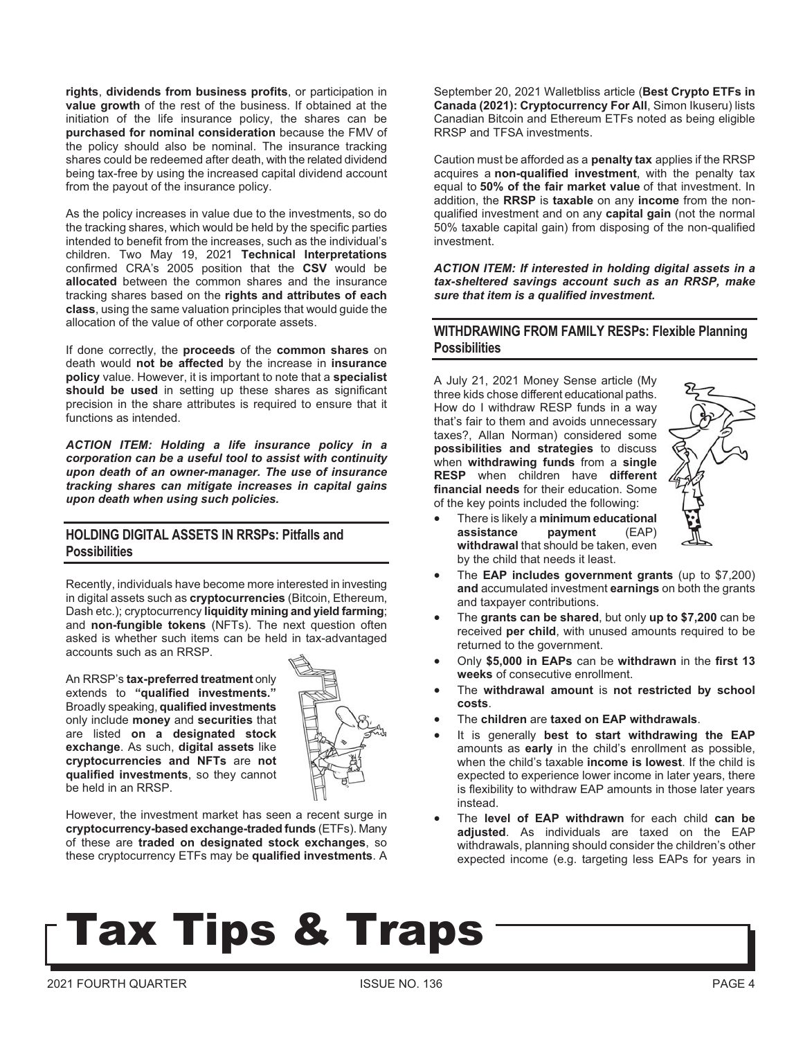**rights**, **dividends from business profits**, or participation in **value growth** of the rest of the business. If obtained at the initiation of the life insurance policy, the shares can be **purchased for nominal consideration** because the FMV of the policy should also be nominal. The insurance tracking shares could be redeemed after death, with the related dividend being tax-free by using the increased capital dividend account from the payout of the insurance policy.

As the policy increases in value due to the investments, so do the tracking shares, which would be held by the specific parties intended to benefit from the increases, such as the individual's children. Two May 19, 2021 **Technical Interpretations** confirmed CRA's 2005 position that the **CSV** would be **allocated** between the common shares and the insurance tracking shares based on the **rights and attributes of each class**, using the same valuation principles that would guide the allocation of the value of other corporate assets.

If done correctly, the **proceeds** of the **common shares** on death would **not be affected** by the increase in **insurance policy** value. However, it is important to note that a **specialist should be used** in setting up these shares as significant precision in the share attributes is required to ensure that it functions as intended.

*ACTION ITEM: Holding a life insurance policy in a corporation can be a useful tool to assist with continuity upon death of an owner-manager. The use of insurance tracking shares can mitigate increases in capital gains upon death when using such policies.* 

#### **HOLDING DIGITAL ASSETS IN RRSPs: Pitfalls and Possibilities**

Recently, individuals have become more interested in investing in digital assets such as **cryptocurrencies** (Bitcoin, Ethereum, Dash etc.); cryptocurrency **liquidity mining and yield farming**; and **non-fungible tokens** (NFTs). The next question often asked is whether such items can be held in tax-advantaged accounts such as an RRSP.

An RRSP's **tax-preferred treatment** only extends to **"qualified investments."** Broadly speaking, **qualified investments** only include **money** and **securities** that are listed **on a designated stock exchange**. As such, **digital assets** like **cryptocurrencies and NFTs** are **not qualified investments**, so they cannot be held in an RRSP.



However, the investment market has seen a recent surge in **cryptocurrency-based exchange-traded funds** (ETFs). Many of these are **traded on designated stock exchanges**, so these cryptocurrency ETFs may be **qualified investments**. A September 20, 2021 Walletbliss article (**Best Crypto ETFs in Canada (2021): Cryptocurrency For All**, Simon Ikuseru) lists Canadian Bitcoin and Ethereum ETFs noted as being eligible RRSP and TFSA investments.

Caution must be afforded as a **penalty tax** applies if the RRSP acquires a **non-qualified investment**, with the penalty tax equal to **50% of the fair market value** of that investment. In addition, the **RRSP** is **taxable** on any **income** from the nonqualified investment and on any **capital gain** (not the normal 50% taxable capital gain) from disposing of the non-qualified investment.

*ACTION ITEM: If interested in holding digital assets in a tax-sheltered savings account such as an RRSP, make sure that item is a qualified investment.*

#### **WITHDRAWING FROM FAMILY RESPs: Flexible Planning Possibilities**

A July 21, 2021 Money Sense article (My three kids chose different educational paths. How do I withdraw RESP funds in a way that's fair to them and avoids unnecessary taxes?, Allan Norman) considered some **possibilities and strategies** to discuss when **withdrawing funds** from a **single RESP** when children have **different financial needs** for their education. Some of the key points included the following:



- - There is likely a **minimum educational assistance payment** (EAP) **withdrawal** that should be taken, even by the child that needs it least.
- - The **EAP includes government grants** (up to \$7,200) **and** accumulated investment **earnings** on both the grants and taxpayer contributions.
- - The **grants can be shared**, but only **up to \$7,200** can be received **per child**, with unused amounts required to be returned to the government.
- - Only **\$5,000 in EAPs** can be **withdrawn** in the **first 13 weeks** of consecutive enrollment.
- - The **withdrawal amount** is **not restricted by school costs**.
- -The **children** are **taxed on EAP withdrawals**.
- - It is generally **best to start withdrawing the EAP** amounts as **early** in the child's enrollment as possible, when the child's taxable **income is lowest**. If the child is expected to experience lower income in later years, there is flexibility to withdraw EAP amounts in those later years instead.
- - The **level of EAP withdrawn** for each child **can be adjusted**. As individuals are taxed on the EAP withdrawals, planning should consider the children's other expected income (e.g. targeting less EAPs for years in

# **Tax Tips & Traps**